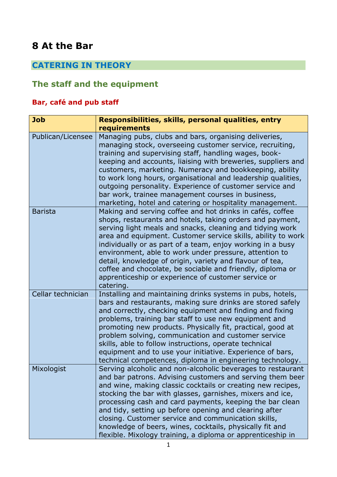# **8 At the Bar**

# **CATERING IN THEORY**

# **The staff and the equipment**

## **Bar, café and pub staff**

| <b>Job</b>        | Responsibilities, skills, personal qualities, entry                                                                                                                                                                                                                                                                                                                                                                                                                                                                                                                       |  |  |  |  |
|-------------------|---------------------------------------------------------------------------------------------------------------------------------------------------------------------------------------------------------------------------------------------------------------------------------------------------------------------------------------------------------------------------------------------------------------------------------------------------------------------------------------------------------------------------------------------------------------------------|--|--|--|--|
|                   | requirements                                                                                                                                                                                                                                                                                                                                                                                                                                                                                                                                                              |  |  |  |  |
| Publican/Licensee | Managing pubs, clubs and bars, organising deliveries,<br>managing stock, overseeing customer service, recruiting,<br>training and supervising staff, handling wages, book-<br>keeping and accounts, liaising with breweries, suppliers and<br>customers, marketing. Numeracy and bookkeeping, ability<br>to work long hours, organisational and leadership qualities,<br>outgoing personality. Experience of customer service and<br>bar work, trainee management courses in business,<br>marketing, hotel and catering or hospitality management.                        |  |  |  |  |
| <b>Barista</b>    | Making and serving coffee and hot drinks in cafés, coffee<br>shops, restaurants and hotels, taking orders and payment,<br>serving light meals and snacks, cleaning and tidying work<br>area and equipment. Customer service skills, ability to work<br>individually or as part of a team, enjoy working in a busy<br>environment, able to work under pressure, attention to<br>detail, knowledge of origin, variety and flavour of tea,<br>coffee and chocolate, be sociable and friendly, diploma or<br>apprenticeship or experience of customer service or<br>catering. |  |  |  |  |
| Cellar technician | Installing and maintaining drinks systems in pubs, hotels,<br>bars and restaurants, making sure drinks are stored safely<br>and correctly, checking equipment and finding and fixing<br>problems, training bar staff to use new equipment and<br>promoting new products. Physically fit, practical, good at<br>problem solving, communication and customer service<br>skills, able to follow instructions, operate technical<br>equipment and to use your initiative. Experience of bars,<br>technical competences, diploma in engineering technology.                    |  |  |  |  |
| Mixologist        | Serving alcoholic and non-alcoholic beverages to restaurant<br>and bar patrons. Advising customers and serving them beer<br>and wine, making classic cocktails or creating new recipes,<br>stocking the bar with glasses, garnishes, mixers and ice,<br>processing cash and card payments, keeping the bar clean<br>and tidy, setting up before opening and clearing after<br>closing. Customer service and communication skills,<br>knowledge of beers, wines, cocktails, physically fit and<br>flexible. Mixology training, a diploma or apprenticeship in              |  |  |  |  |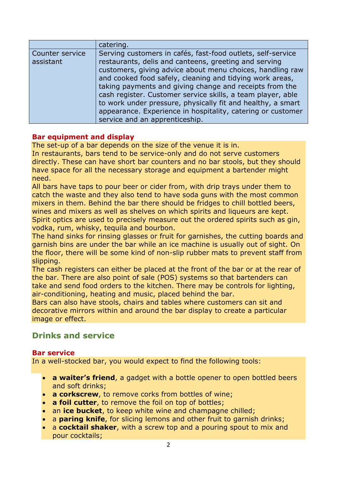|                              | catering.                                                                                                                                                                                                                                                                                                                                                                                                                                                                                             |
|------------------------------|-------------------------------------------------------------------------------------------------------------------------------------------------------------------------------------------------------------------------------------------------------------------------------------------------------------------------------------------------------------------------------------------------------------------------------------------------------------------------------------------------------|
| Counter service<br>assistant | Serving customers in cafés, fast-food outlets, self-service<br>restaurants, delis and canteens, greeting and serving<br>customers, giving advice about menu choices, handling raw<br>and cooked food safely, cleaning and tidying work areas,<br>taking payments and giving change and receipts from the<br>cash register. Customer service skills, a team player, able<br>to work under pressure, physically fit and healthy, a smart<br>appearance. Experience in hospitality, catering or customer |
|                              | service and an apprenticeship.                                                                                                                                                                                                                                                                                                                                                                                                                                                                        |

### **Bar equipment and display**

The set-up of a bar depends on the size of the venue it is in.

In restaurants, bars tend to be service-only and do not serve customers directly. These can have short bar counters and no bar stools, but they should have space for all the necessary storage and equipment a bartender might need.

All bars have taps to pour beer or cider from, with drip trays under them to catch the waste and they also tend to have soda guns with the most common mixers in them. Behind the bar there should be fridges to chill bottled beers, wines and mixers as well as shelves on which spirits and liqueurs are kept. Spirit optics are used to precisely measure out the ordered spirits such as gin, vodka, rum, whisky, tequila and bourbon.

The hand sinks for rinsing glasses or fruit for garnishes, the cutting boards and garnish bins are under the bar while an ice machine is usually out of sight. On the floor, there will be some kind of non-slip rubber mats to prevent staff from slipping.

The cash registers can either be placed at the front of the bar or at the rear of the bar. There are also point of sale (POS) systems so that bartenders can take and send food orders to the kitchen. There may be controls for lighting, air-conditioning, heating and music, placed behind the bar.

Bars can also have stools, chairs and tables where customers can sit and decorative mirrors within and around the bar display to create a particular image or effect.

## **Drinks and service**

#### **Bar service**

In a well-stocked bar, you would expect to find the following tools:

- **a waiter's friend**, a gadget with a bottle opener to open bottled beers and soft drinks;
- **a corkscrew**, to remove corks from bottles of wine;
- **a foil cutter**, to remove the foil on top of bottles;
- an **ice bucket**, to keep white wine and champagne chilled;
- a **paring knife**, for slicing lemons and other fruit to garnish drinks;
- a **cocktail shaker**, with a screw top and a pouring spout to mix and pour cocktails;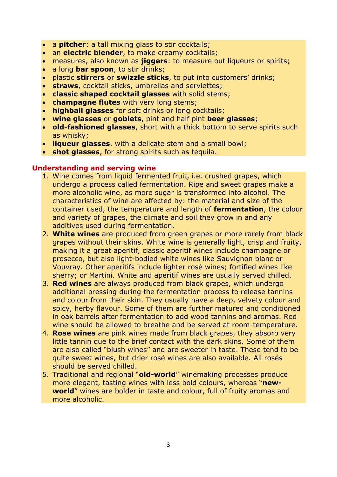- a **pitcher**: a tall mixing glass to stir cocktails;
- an **electric blender**, to make creamy cocktails;
- measures, also known as **jiggers**: to measure out liqueurs or spirits;
- a long **bar spoon**, to stir drinks;
- plastic **stirrers** or **swizzle sticks**, to put into customers' drinks;
- **straws**, cocktail sticks, umbrellas and serviettes;
- **classic shaped cocktail glasses** with solid stems;
- **champagne flutes** with very long stems;
- **highball glasses** for soft drinks or long cocktails;
- **wine glasses** or **goblets**, pint and half pint **beer glasses**;
- **old-fashioned glasses**, short with a thick bottom to serve spirits such as whisky;
- **liqueur glasses**, with a delicate stem and a small bowl;
- **shot glasses**, for strong spirits such as tequila.

#### **Understanding and serving wine**

- 1. Wine comes from liquid fermented fruit, i.e. crushed grapes, which undergo a process called fermentation. Ripe and sweet grapes make a more alcoholic wine, as more sugar is transformed into alcohol. The characteristics of wine are affected by: the material and size of the container used, the temperature and length of **fermentation**, the colour and variety of grapes, the climate and soil they grow in and any additives used during fermentation.
- 2. **White wines** are produced from green grapes or more rarely from black grapes without their skins. White wine is generally light, crisp and fruity, making it a great aperitif, classic aperitif wines include champagne or prosecco, but also light-bodied white wines like Sauvignon blanc or Vouvray. Other aperitifs include lighter rosé wines; fortified wines like sherry; or Martini. White and aperitif wines are usually served chilled.
- 3. **Red wines** are always produced from black grapes, which undergo additional pressing during the fermentation process to release tannins and colour from their skin. They usually have a deep, velvety colour and spicy, herby flavour. Some of them are further matured and conditioned in oak barrels after fermentation to add wood tannins and aromas. Red wine should be allowed to breathe and be served at room-temperature.
- 4. **Rose wines** are pink wines made from black grapes, they absorb very little tannin due to the brief contact with the dark skins. Some of them are also called "blush wines" and are sweeter in taste. These tend to be quite sweet wines, but drier rosé wines are also available. All rosés should be served chilled.
- 5. Traditional and regional "**old-world**" winemaking processes produce more elegant, tasting wines with less bold colours, whereas "**newworld**" wines are bolder in taste and colour, full of fruity aromas and more alcoholic.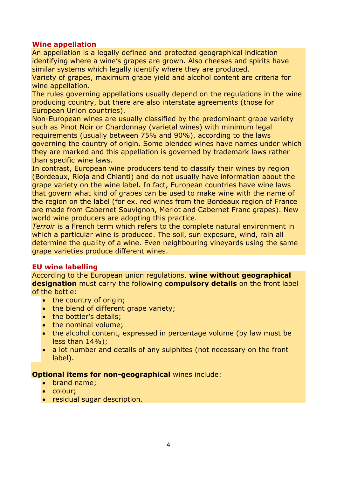#### **Wine appellation**

An appellation is a legally defined and protected geographical indication identifying where a wine's grapes are grown. Also cheeses and spirits have similar systems which legally identify where they are produced.

Variety of grapes, maximum grape yield and alcohol content are criteria for wine appellation.

The rules governing appellations usually depend on the regulations in the wine producing country, but there are also interstate agreements (those for European Union countries).

Non-European wines are usually classified by the predominant grape variety such as Pinot Noir or Chardonnay (varietal wines) with minimum legal requirements (usually between 75% and 90%), according to the laws governing the country of origin. Some blended wines have names under which they are marked and this appellation is governed by trademark laws rather than specific wine laws.

In contrast, European wine producers tend to classify their wines by region (Bordeaux, Rioja and Chianti) and do not usually have information about the grape variety on the wine label. In fact, European countries have wine laws that govern what kind of grapes can be used to make wine with the name of the region on the label (for ex. red wines from the Bordeaux region of France are made from Cabernet Sauvignon, Merlot and Cabernet Franc grapes). New world wine producers are adopting this practice.

*Terroir* is a French term which refers to the complete natural environment in which a particular wine is produced. The soil, sun exposure, wind, rain all determine the quality of a wine. Even neighbouring vineyards using the same grape varieties produce different wines.

### **EU wine labelling**

According to the European union regulations, **wine without geographical designation** must carry the following **compulsory details** on the front label of the bottle:

- $\bullet$  the country of origin;
- the blend of different grape variety;
- the bottler's details;
- the nominal volume;
- the alcohol content, expressed in percentage volume (by law must be less than 14%);
- a lot number and details of any sulphites (not necessary on the front label).

#### **Optional items for non-geographical** wines include:

- brand name;
- colour;
- residual sugar description.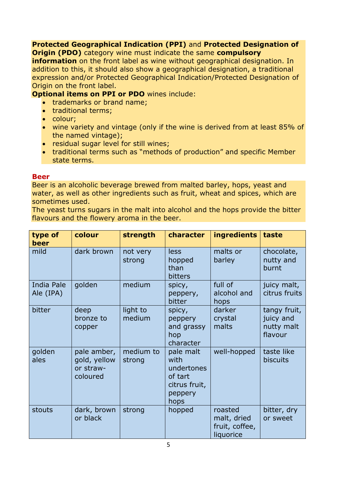#### **Protected Geographical Indication (PPI)** and **Protected Designation of Origin (PDO)** category wine must indicate the same **compulsory**

**information** on the front label as wine without geographical designation. In addition to this, it should also show a geographical designation, a traditional expression and/or Protected Geographical Indication/Protected Designation of Origin on the front label.

**Optional items on PPI or PDO** wines include:

- trademarks or brand name;
- traditional terms;
- colour;
- wine variety and vintage (only if the wine is derived from at least 85% of the named vintage);
- residual sugar level for still wines;
- traditional terms such as "methods of production" and specific Member state terms.

#### **Beer**

Beer is an alcoholic beverage brewed from malted barley, hops, yeast and water, as well as other ingredients such as fruit, wheat and spices, which are sometimes used.

The yeast turns sugars in the malt into alcohol and the hops provide the bitter flavours and the flowery aroma in the beer.

| type of<br>beer                | colour                                               | strength            | character                                                                      | <b>ingredients</b>                                    | taste                                              |
|--------------------------------|------------------------------------------------------|---------------------|--------------------------------------------------------------------------------|-------------------------------------------------------|----------------------------------------------------|
| mild                           | dark brown                                           | not very<br>strong  | <b>less</b><br>hopped<br>than<br>bitters                                       | malts or<br>barley                                    | chocolate,<br>nutty and<br>burnt                   |
| <b>India Pale</b><br>Ale (IPA) | golden                                               | medium              | spicy,<br>peppery,<br>bitter                                                   | full of<br>alcohol and<br>hops                        | juicy malt,<br>citrus fruits                       |
| bitter                         | deep<br>bronze to<br>copper                          | light to<br>medium  | spicy,<br>peppery<br>and grassy<br>hop<br>character                            | darker<br>crystal<br>malts                            | tangy fruit,<br>juicy and<br>nutty malt<br>flavour |
| golden<br>ales                 | pale amber,<br>gold, yellow<br>or straw-<br>coloured | medium to<br>strong | pale malt<br>with<br>undertones<br>of tart<br>citrus fruit,<br>peppery<br>hops | well-hopped                                           | taste like<br>biscuits                             |
| stouts                         | dark, brown<br>or black                              | strong              | hopped                                                                         | roasted<br>malt, dried<br>fruit, coffee,<br>liquorice | bitter, dry<br>or sweet                            |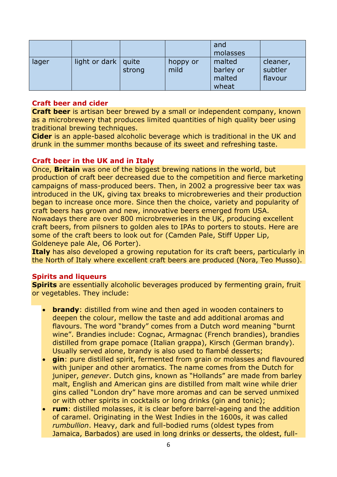|       |                         |        |                  | and<br>molasses                        |                                |
|-------|-------------------------|--------|------------------|----------------------------------------|--------------------------------|
| lager | light or dark $ $ quite | strong | hoppy or<br>mild | malted<br>barley or<br>malted<br>wheat | cleaner,<br>subtler<br>flavour |

#### **Craft beer and cider**

**Craft beer** is artisan beer brewed by a small or independent company, known as a microbrewery that produces limited quantities of high quality beer using traditional brewing techniques.

**Cider** is an apple-based alcoholic beverage which is traditional in the UK and drunk in the summer months because of its sweet and refreshing taste.

#### **Craft beer in the UK and in Italy**

Once, **Britain** was one of the biggest brewing nations in the world, but production of craft beer decreased due to the competition and fierce marketing campaigns of mass-produced beers. Then, in 2002 a progressive beer tax was introduced in the UK, giving tax breaks to microbreweries and their production began to increase once more. Since then the choice, variety and popularity of craft beers has grown and new, innovative beers emerged from USA. Nowadays there are over 800 microbreweries in the UK, producing excellent

craft beers, from pilsners to golden ales to IPAs to porters to stouts. Here are some of the craft beers to look out for (Camden Pale, Stiff Upper Lip, Goldeneye pale Ale, O6 Porter).

**Italy** has also developed a growing reputation for its craft beers, particularly in the North of Italy where excellent craft beers are produced (Nora, Teo Musso).

#### **Spirits and liqueurs**

**Spirits** are essentially alcoholic beverages produced by fermenting grain, fruit or vegetables. They include:

- **brandy:** distilled from wine and then aged in wooden containers to deepen the colour, mellow the taste and add additional aromas and flavours. The word "brandy" comes from a Dutch word meaning "burnt wine". Brandies include: Cognac, Armagnac (French brandies), brandies distilled from grape pomace (Italian grappa), Kirsch (German brandy). Usually served alone, brandy is also used to flambé desserts;
- **gin**: pure distilled spirit, fermented from grain or molasses and flavoured with juniper and other aromatics. The name comes from the Dutch for juniper, *genever*. Dutch gins, known as "Hollands" are made from barley malt, English and American gins are distilled from malt wine while drier gins called "London dry" have more aromas and can be served unmixed or with other spirits in cocktails or long drinks (gin and tonic);
- **rum**: distilled molasses, it is clear before barrel-ageing and the addition of caramel. Originating in the West Indies in the 1600s, it was called *rumbullion*. Heavy, dark and full-bodied rums (oldest types from Jamaica, Barbados) are used in long drinks or desserts, the oldest, full-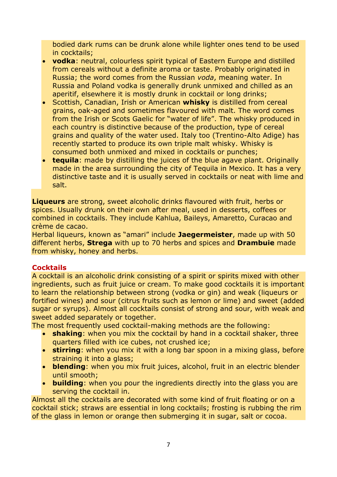bodied dark rums can be drunk alone while lighter ones tend to be used in cocktails;

- **vodka**: neutral, colourless spirit typical of Eastern Europe and distilled from cereals without a definite aroma or taste. Probably originated in Russia; the word comes from the Russian *voda*, meaning water. In Russia and Poland vodka is generally drunk unmixed and chilled as an aperitif, elsewhere it is mostly drunk in cocktail or long drinks;
- Scottish, Canadian, Irish or American **whisky** is distilled from cereal grains, oak-aged and sometimes flavoured with malt. The word comes from the Irish or Scots Gaelic for "water of life". The whisky produced in each country is distinctive because of the production, type of cereal grains and quality of the water used. Italy too (Trentino-Alto Adige) has recently started to produce its own triple malt whisky. Whisky is consumed both unmixed and mixed in cocktails or punches;
- **tequila**: made by distilling the juices of the blue agave plant. Originally made in the area surrounding the city of Tequila in Mexico. It has a very distinctive taste and it is usually served in cocktails or neat with lime and salt.

**Liqueurs** are strong, sweet alcoholic drinks flavoured with fruit, herbs or spices. Usually drunk on their own after meal, used in desserts, coffees or combined in cocktails. They include Kahlua, Baileys, Amaretto, Curacao and crème de cacao.

Herbal liqueurs, known as "amari" include **Jaegermeister**, made up with 50 different herbs, **Strega** with up to 70 herbs and spices and **Drambuie** made from whisky, honey and herbs.

### **Cocktails**

A cocktail is an alcoholic drink consisting of a spirit or spirits mixed with other ingredients, such as fruit juice or cream. To make good cocktails it is important to learn the relationship between strong (vodka or gin) and weak (liqueurs or fortified wines) and sour (citrus fruits such as lemon or lime) and sweet (added sugar or syrups). Almost all cocktails consist of strong and sour, with weak and sweet added separately or together.

The most frequently used cocktail-making methods are the following:

- **shaking**: when you mix the cocktail by hand in a cocktail shaker, three quarters filled with ice cubes, not crushed ice;
- **stirring**: when you mix it with a long bar spoon in a mixing glass, before straining it into a glass;
- **blending**: when you mix fruit juices, alcohol, fruit in an electric blender until smooth;
- **building**: when you pour the ingredients directly into the glass you are serving the cocktail in.

Almost all the cocktails are decorated with some kind of fruit floating or on a cocktail stick; straws are essential in long cocktails; frosting is rubbing the rim of the glass in lemon or orange then submerging it in sugar, salt or cocoa.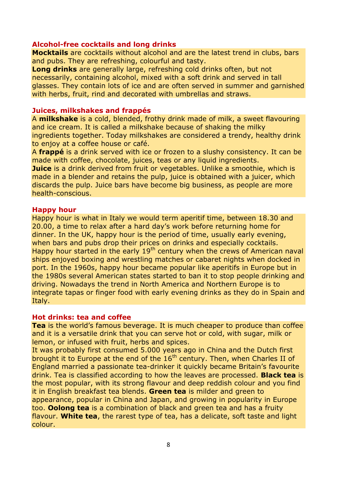#### **Alcohol-free cocktails and long drinks**

**Mocktails** are cocktails without alcohol and are the latest trend in clubs, bars and pubs. They are refreshing, colourful and tasty.

**Long drinks** are generally large, refreshing cold drinks often, but not necessarily, containing alcohol, mixed with a soft drink and served in tall glasses. They contain lots of ice and are often served in summer and garnished with herbs, fruit, rind and decorated with umbrellas and straws.

#### **Juices, milkshakes and frappés**

A **milkshake** is a cold, blended, frothy drink made of milk, a sweet flavouring and ice cream. It is called a milkshake because of shaking the milky ingredients together. Today milkshakes are considered a trendy, healthy drink to enjoy at a coffee house or café.

A **frappé** is a drink served with ice or frozen to a slushy consistency. It can be made with coffee, chocolate, juices, teas or any liquid ingredients.

**Juice** is a drink derived from fruit or vegetables. Unlike a smoothie, which is made in a blender and retains the pulp, juice is obtained with a juicer, which discards the pulp. Juice bars have become big business, as people are more health-conscious.

#### **Happy hour**

Happy hour is what in Italy we would term aperitif time, between 18.30 and 20.00, a time to relax after a hard day's work before returning home for dinner. In the UK, happy hour is the period of time, usually early evening, when bars and pubs drop their prices on drinks and especially cocktails. Happy hour started in the early 19<sup>th</sup> century when the crews of American naval ships enjoyed boxing and wrestling matches or cabaret nights when docked in port. In the 1960s, happy hour became popular like aperitifs in Europe but in the 1980s several American states started to ban it to stop people drinking and driving. Nowadays the trend in North America and Northern Europe is to integrate tapas or finger food with early evening drinks as they do in Spain and Italy.

#### **Hot drinks: tea and coffee**

**Tea** is the world's famous beverage. It is much cheaper to produce than coffee and it is a versatile drink that you can serve hot or cold, with sugar, milk or lemon, or infused with fruit, herbs and spices.

It was probably first consumed 5.000 years ago in China and the Dutch first brought it to Europe at the end of the  $16<sup>th</sup>$  century. Then, when Charles II of England married a passionate tea-drinker it quickly became Britain's favourite drink. Tea is classified according to how the leaves are processed. **Black tea** is the most popular, with its strong flavour and deep reddish colour and you find it in English breakfast tea blends. **Green tea** is milder and green to appearance, popular in China and Japan, and growing in popularity in Europe too. **Oolong tea** is a combination of black and green tea and has a fruity flavour. **White tea**, the rarest type of tea, has a delicate, soft taste and light colour.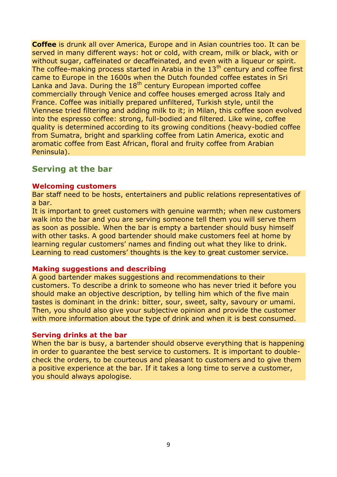**Coffee** is drunk all over America, Europe and in Asian countries too. It can be served in many different ways: hot or cold, with cream, milk or black, with or without sugar, caffeinated or decaffeinated, and even with a liqueur or spirit. The coffee-making process started in Arabia in the  $13<sup>th</sup>$  century and coffee first came to Europe in the 1600s when the Dutch founded coffee estates in Sri Lanka and Java. During the 18<sup>th</sup> century European imported coffee commercially through Venice and coffee houses emerged across Italy and France. Coffee was initially prepared unfiltered, Turkish style, until the Viennese tried filtering and adding milk to it; in Milan, this coffee soon evolved into the espresso coffee: strong, full-bodied and filtered. Like wine, coffee quality is determined according to its growing conditions (heavy-bodied coffee from Sumatra, bright and sparkling coffee from Latin America, exotic and aromatic coffee from East African, floral and fruity coffee from Arabian Peninsula).

## **Serving at the bar**

#### **Welcoming customers**

Bar staff need to be hosts, entertainers and public relations representatives of a bar.

It is important to greet customers with genuine warmth; when new customers walk into the bar and you are serving someone tell them you will serve them as soon as possible. When the bar is empty a bartender should busy himself with other tasks. A good bartender should make customers feel at home by learning regular customers' names and finding out what they like to drink. Learning to read customers' thoughts is the key to great customer service.

#### **Making suggestions and describing**

A good bartender makes suggestions and recommendations to their customers. To describe a drink to someone who has never tried it before you should make an objective description, by telling him which of the five main tastes is dominant in the drink: bitter, sour, sweet, salty, savoury or umami. Then, you should also give your subjective opinion and provide the customer with more information about the type of drink and when it is best consumed.

#### **Serving drinks at the bar**

When the bar is busy, a bartender should observe everything that is happening in order to guarantee the best service to customers. It is important to doublecheck the orders, to be courteous and pleasant to customers and to give them a positive experience at the bar. If it takes a long time to serve a customer, you should always apologise.